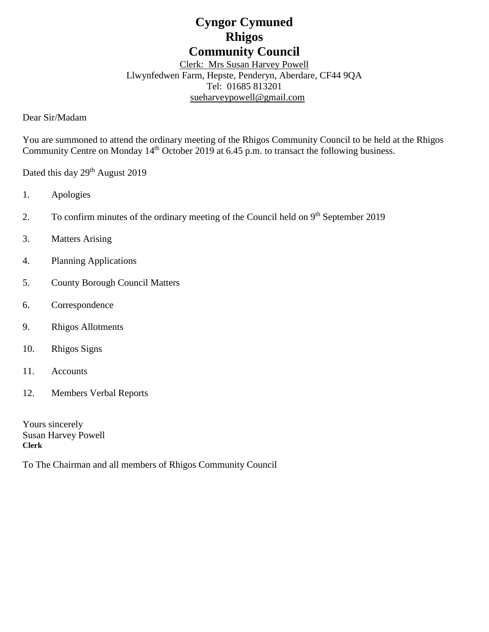# **Cyngor Cymuned Rhigos Community Council**

Clerk: Mrs Susan Harvey Powell Llwynfedwen Farm, Hepste, Penderyn, Aberdare, CF44 9QA Tel: 01685 813201 [sueharveypowell@g](mailto:sharveypowell@comin-infants.co.uk)mail.com

Dear Sir/Madam

You are summoned to attend the ordinary meeting of the Rhigos Community Council to be held at the Rhigos Community Centre on Monday 14<sup>th</sup> October 2019 at 6.45 p.m. to transact the following business.

Dated this day 29<sup>th</sup> August 2019

- 1. Apologies
- 2. To confirm minutes of the ordinary meeting of the Council held on 9<sup>th</sup> September 2019
- 3. Matters Arising
- 4. Planning Applications
- 5. County Borough Council Matters
- 6. Correspondence
- 9. Rhigos Allotments
- 10. Rhigos Signs
- 11. Accounts
- 12. Members Verbal Reports

Yours sincerely Susan Harvey Powell **Clerk**

To The Chairman and all members of Rhigos Community Council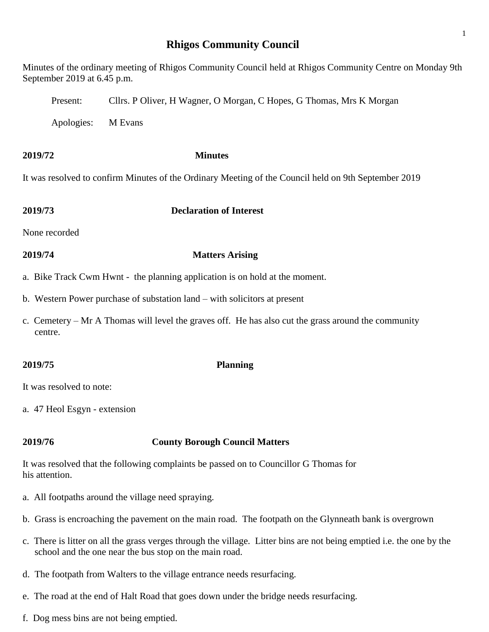## **Rhigos Community Council**

Minutes of the ordinary meeting of Rhigos Community Council held at Rhigos Community Centre on Monday 9th September 2019 at 6.45 p.m.

Present: Cllrs. P Oliver, H Wagner, O Morgan, C Hopes, G Thomas, Mrs K Morgan

Apologies: M Evans

**2019/72 Minutes**

It was resolved to confirm Minutes of the Ordinary Meeting of the Council held on 9th September 2019

### **2019/73 Declaration of Interest**

None recorded

# **2019/74 Matters Arising**

- a. Bike Track Cwm Hwnt the planning application is on hold at the moment.
- b. Western Power purchase of substation land with solicitors at present
- c. Cemetery Mr A Thomas will level the graves off. He has also cut the grass around the community centre.

### **2019/75 Planning**

It was resolved to note:

a. 47 Heol Esgyn - extension

### **2019/76 County Borough Council Matters**

It was resolved that the following complaints be passed on to Councillor G Thomas for his attention.

- a. All footpaths around the village need spraying.
- b. Grass is encroaching the pavement on the main road. The footpath on the Glynneath bank is overgrown
- c. There is litter on all the grass verges through the village. Litter bins are not being emptied i.e. the one by the school and the one near the bus stop on the main road.
- d. The footpath from Walters to the village entrance needs resurfacing.
- e. The road at the end of Halt Road that goes down under the bridge needs resurfacing.
- f. Dog mess bins are not being emptied.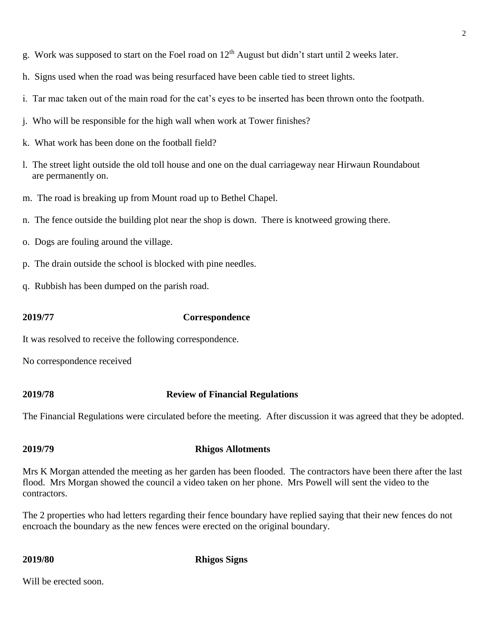- g. Work was supposed to start on the Foel road on 12<sup>th</sup> August but didn't start until 2 weeks later.
- h. Signs used when the road was being resurfaced have been cable tied to street lights.
- i. Tar mac taken out of the main road for the cat's eyes to be inserted has been thrown onto the footpath.
- j. Who will be responsible for the high wall when work at Tower finishes?
- k. What work has been done on the football field?
- l. The street light outside the old toll house and one on the dual carriageway near Hirwaun Roundabout are permanently on.
- m. The road is breaking up from Mount road up to Bethel Chapel.
- n. The fence outside the building plot near the shop is down. There is knotweed growing there.
- o. Dogs are fouling around the village.
- p. The drain outside the school is blocked with pine needles.
- q. Rubbish has been dumped on the parish road.

### **2019/77 Correspondence**

It was resolved to receive the following correspondence.

No correspondence received

### **2019/78 Review of Financial Regulations**

The Financial Regulations were circulated before the meeting. After discussion it was agreed that they be adopted.

### **2019/79 Rhigos Allotments**

Mrs K Morgan attended the meeting as her garden has been flooded. The contractors have been there after the last flood. Mrs Morgan showed the council a video taken on her phone. Mrs Powell will sent the video to the contractors.

The 2 properties who had letters regarding their fence boundary have replied saying that their new fences do not encroach the boundary as the new fences were erected on the original boundary.

**2019/80 Rhigos Signs**

Will be erected soon.